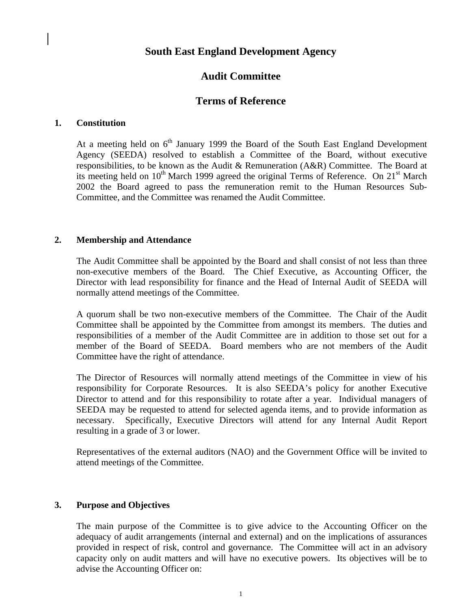# **South East England Development Agency**

# **Audit Committee**

## **Terms of Reference**

#### **1. Constitution**

At a meeting held on  $6<sup>th</sup>$  January 1999 the Board of the South East England Development Agency (SEEDA) resolved to establish a Committee of the Board, without executive responsibilities, to be known as the Audit & Remuneration (A&R) Committee. The Board at its meeting held on  $10^{th}$  March 1999 agreed the original Terms of Reference. On  $21^{st}$  March 2002 the Board agreed to pass the remuneration remit to the Human Resources Sub-Committee, and the Committee was renamed the Audit Committee.

#### **2. Membership and Attendance**

The Audit Committee shall be appointed by the Board and shall consist of not less than three non-executive members of the Board. The Chief Executive, as Accounting Officer, the Director with lead responsibility for finance and the Head of Internal Audit of SEEDA will normally attend meetings of the Committee.

A quorum shall be two non-executive members of the Committee. The Chair of the Audit Committee shall be appointed by the Committee from amongst its members. The duties and responsibilities of a member of the Audit Committee are in addition to those set out for a member of the Board of SEEDA. Board members who are not members of the Audit Committee have the right of attendance.

The Director of Resources will normally attend meetings of the Committee in view of his responsibility for Corporate Resources. It is also SEEDA's policy for another Executive Director to attend and for this responsibility to rotate after a year. Individual managers of SEEDA may be requested to attend for selected agenda items, and to provide information as necessary. Specifically, Executive Directors will attend for any Internal Audit Report resulting in a grade of 3 or lower.

Representatives of the external auditors (NAO) and the Government Office will be invited to attend meetings of the Committee.

#### **3. Purpose and Objectives**

The main purpose of the Committee is to give advice to the Accounting Officer on the adequacy of audit arrangements (internal and external) and on the implications of assurances provided in respect of risk, control and governance. The Committee will act in an advisory capacity only on audit matters and will have no executive powers. Its objectives will be to advise the Accounting Officer on: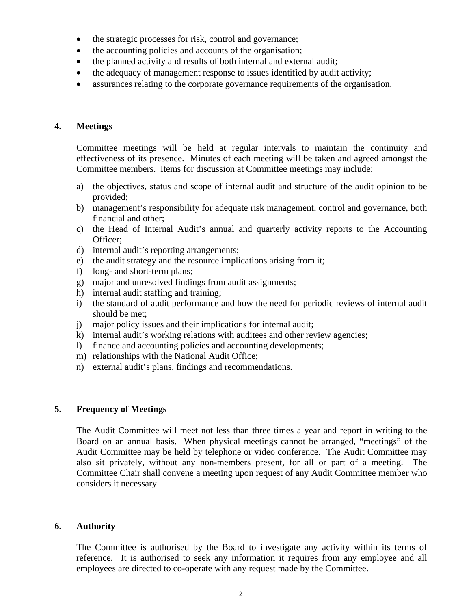- the strategic processes for risk, control and governance;
- the accounting policies and accounts of the organisation;
- the planned activity and results of both internal and external audit;
- the adequacy of management response to issues identified by audit activity;
- assurances relating to the corporate governance requirements of the organisation.

#### **4. Meetings**

Committee meetings will be held at regular intervals to maintain the continuity and effectiveness of its presence. Minutes of each meeting will be taken and agreed amongst the Committee members. Items for discussion at Committee meetings may include:

- a) the objectives, status and scope of internal audit and structure of the audit opinion to be provided;
- b) management's responsibility for adequate risk management, control and governance, both financial and other;
- c) the Head of Internal Audit's annual and quarterly activity reports to the Accounting Officer;
- d) internal audit's reporting arrangements;
- e) the audit strategy and the resource implications arising from it;
- f) long- and short-term plans;
- g) major and unresolved findings from audit assignments;
- h) internal audit staffing and training;
- i) the standard of audit performance and how the need for periodic reviews of internal audit should be met;
- j) major policy issues and their implications for internal audit;
- k) internal audit's working relations with auditees and other review agencies;
- l) finance and accounting policies and accounting developments;
- m) relationships with the National Audit Office;
- n) external audit's plans, findings and recommendations.

#### **5. Frequency of Meetings**

The Audit Committee will meet not less than three times a year and report in writing to the Board on an annual basis. When physical meetings cannot be arranged, "meetings" of the Audit Committee may be held by telephone or video conference. The Audit Committee may also sit privately, without any non-members present, for all or part of a meeting. The Committee Chair shall convene a meeting upon request of any Audit Committee member who considers it necessary.

#### **6. Authority**

The Committee is authorised by the Board to investigate any activity within its terms of reference. It is authorised to seek any information it requires from any employee and all employees are directed to co-operate with any request made by the Committee.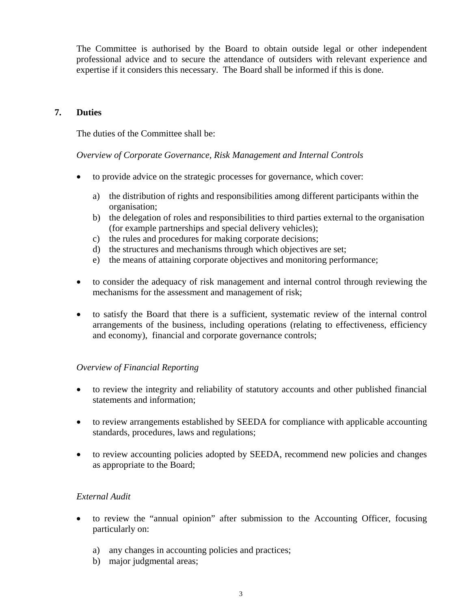The Committee is authorised by the Board to obtain outside legal or other independent professional advice and to secure the attendance of outsiders with relevant experience and expertise if it considers this necessary. The Board shall be informed if this is done.

## **7. Duties**

The duties of the Committee shall be:

*Overview of Corporate Governance, Risk Management and Internal Controls* 

- to provide advice on the strategic processes for governance, which cover:
	- a) the distribution of rights and responsibilities among different participants within the organisation;
	- b) the delegation of roles and responsibilities to third parties external to the organisation (for example partnerships and special delivery vehicles);
	- c) the rules and procedures for making corporate decisions;
	- d) the structures and mechanisms through which objectives are set;
	- e) the means of attaining corporate objectives and monitoring performance;
- to consider the adequacy of risk management and internal control through reviewing the mechanisms for the assessment and management of risk;
- to satisfy the Board that there is a sufficient, systematic review of the internal control arrangements of the business, including operations (relating to effectiveness, efficiency and economy), financial and corporate governance controls;

## *Overview of Financial Reporting*

- to review the integrity and reliability of statutory accounts and other published financial statements and information;
- to review arrangements established by SEEDA for compliance with applicable accounting standards, procedures, laws and regulations;
- to review accounting policies adopted by SEEDA, recommend new policies and changes as appropriate to the Board;

## *External Audit*

- to review the "annual opinion" after submission to the Accounting Officer, focusing particularly on:
	- a) any changes in accounting policies and practices;
	- b) major judgmental areas;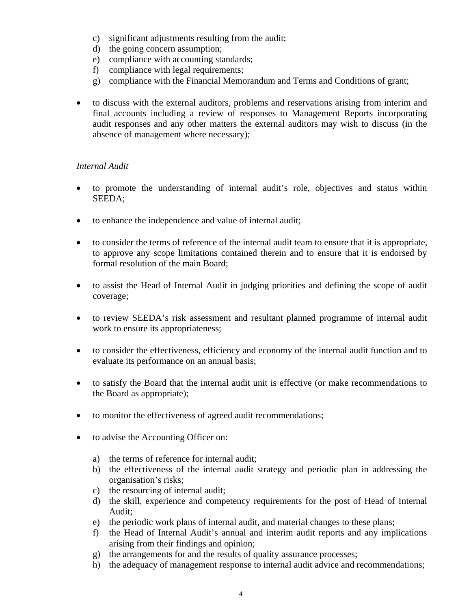- c) significant adjustments resulting from the audit;
- d) the going concern assumption;
- e) compliance with accounting standards;
- f) compliance with legal requirements;
- g) compliance with the Financial Memorandum and Terms and Conditions of grant;
- to discuss with the external auditors, problems and reservations arising from interim and final accounts including a review of responses to Management Reports incorporating audit responses and any other matters the external auditors may wish to discuss (in the absence of management where necessary);

### *Internal Audit*

- to promote the understanding of internal audit's role, objectives and status within SEEDA;
- to enhance the independence and value of internal audit;
- to consider the terms of reference of the internal audit team to ensure that it is appropriate, to approve any scope limitations contained therein and to ensure that it is endorsed by formal resolution of the main Board;
- to assist the Head of Internal Audit in judging priorities and defining the scope of audit coverage;
- to review SEEDA's risk assessment and resultant planned programme of internal audit work to ensure its appropriateness;
- to consider the effectiveness, efficiency and economy of the internal audit function and to evaluate its performance on an annual basis;
- to satisfy the Board that the internal audit unit is effective (or make recommendations to the Board as appropriate);
- to monitor the effectiveness of agreed audit recommendations;
- to advise the Accounting Officer on:
	- a) the terms of reference for internal audit;
	- b) the effectiveness of the internal audit strategy and periodic plan in addressing the organisation's risks;
	- c) the resourcing of internal audit;
	- d) the skill, experience and competency requirements for the post of Head of Internal Audit;
	- e) the periodic work plans of internal audit, and material changes to these plans;
	- f) the Head of Internal Audit's annual and interim audit reports and any implications arising from their findings and opinion;
	- g) the arrangements for and the results of quality assurance processes;
	- h) the adequacy of management response to internal audit advice and recommendations;